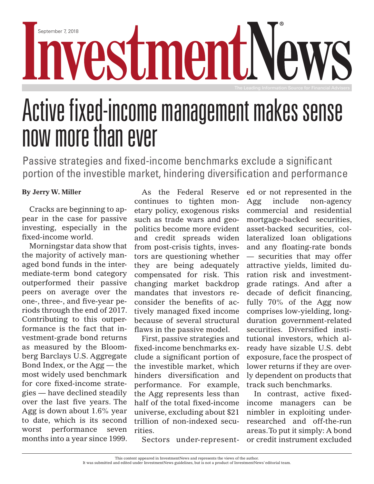INVestmer 7, 2018

## Active fixed-income management makes sense now more than ever

Passive strategies and fixed-income benchmarks exclude a significant portion of the investible market, hindering diversification and performance

## **By Jerry W. Miller**

Cracks are beginning to appear in the case for passive investing, especially in the fixed-income world.

Morningstar data show that the majority of actively managed bond funds in the intermediate-term bond category outperformed their passive peers on average over the one-, three-, and five-year periods through the end of 2017. Contributing to this outperformance is the fact that investment-grade bond returns as measured by the Bloomberg Barclays U.S. Aggregate Bond Index, or the Agg — the most widely used benchmark for core fixed-income strategies — have declined steadily over the last five years. The Agg is down about 1.6% year to date, which is its second worst performance seven months into a year since 1999.

As the Federal Reserve continues to tighten monetary policy, exogenous risks such as trade wars and geopolitics become more evident and credit spreads widen from post-crisis tights, investors are questioning whether they are being adequately compensated for risk. This changing market backdrop mandates that investors reconsider the benefits of actively managed fixed income because of several structural flaws in the passive model.

First, passive strategies and fixed-income benchmarks exclude a significant portion of the investible market, which hinders diversification and performance. For example, the Agg represents less than half of the total fixed-income universe, excluding about \$21 trillion of non-indexed securities.

Sectors under-represent-

ed or not represented in the Agg include non-agency commercial and residential mortgage-backed securities, asset-backed securities, collateralized loan obligations and any floating-rate bonds — securities that may offer attractive yields, limited duration risk and investmentgrade ratings. And after a decade of deficit financing, fully 70% of the Agg now comprises low-yielding, longduration government-related securities. Diversified institutional investors, which already have sizable U.S. debt exposure, face the prospect of lower returns if they are overly dependent on products that track such benchmarks.

In contrast, active fixedincome managers can be nimbler in exploiting underresearched and off-the-run areas. To put it simply: A bond or credit instrument excluded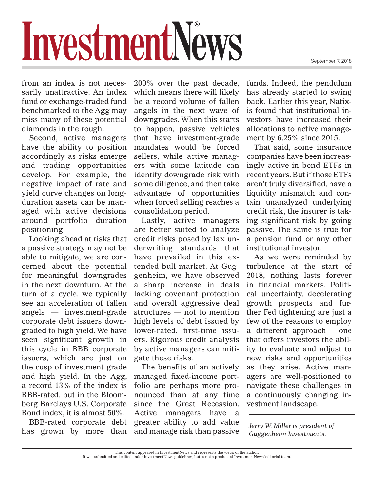September 7, 2018

## InvestmentNews

from an index is not necessarily unattractive. An index fund or exchange-traded fund benchmarked to the Agg may miss many of these potential diamonds in the rough.

Second, active managers have the ability to position accordingly as risks emerge and trading opportunities develop. For example, the negative impact of rate and yield curve changes on longduration assets can be managed with active decisions around portfolio duration positioning.

Looking ahead at risks that a passive strategy may not be able to mitigate, we are concerned about the potential for meaningful downgrades in the next downturn. At the turn of a cycle, we typically see an acceleration of fallen angels — investment-grade corporate debt issuers downgraded to high yield. We have seen significant growth in this cycle in BBB corporate issuers, which are just on the cusp of investment grade and high yield. In the Agg, a record 13% of the index is BBB-rated, but in the Bloomberg Barclays U.S. Corporate Bond index, it is almost 50%.

BBB-rated corporate debt has grown by more than

200% over the past decade, which means there will likely be a record volume of fallen angels in the next wave of downgrades. When this starts to happen, passive vehicles that have investment-grade mandates would be forced sellers, while active managers with some latitude can identify downgrade risk with some diligence, and then take advantage of opportunities when forced selling reaches a consolidation period.

Lastly, active managers are better suited to analyze credit risks posed by lax underwriting standards that have prevailed in this extended bull market. At Guggenheim, we have observed a sharp increase in deals lacking covenant protection and overall aggressive deal structures — not to mention high levels of debt issued by lower-rated, first-time issuers. Rigorous credit analysis by active managers can mitigate these risks.

The benefits of an actively managed fixed-income portfolio are perhaps more pronounced than at any time since the Great Recession. Active managers have a greater ability to add value and manage risk than passive funds. Indeed, the pendulum has already started to swing back. Earlier this year, Natixis found that institutional investors have increased their allocations to active management by 6.25% since 2015.

That said, some insurance companies have been increasingly active in bond ETFs in recent years. But if those ETFs aren't truly diversified, have a liquidity mismatch and contain unanalyzed underlying credit risk, the insurer is taking significant risk by going passive. The same is true for a pension fund or any other institutional investor.

As we were reminded by turbulence at the start of 2018, nothing lasts forever in financial markets. Political uncertainty, decelerating growth prospects and further Fed tightening are just a few of the reasons to employ a different approach— one that offers investors the ability to evaluate and adjust to new risks and opportunities as they arise. Active managers are well-positioned to navigate these challenges in a continuously changing investment landscape.

*Jerry W. Miller is president of Guggenheim Investments.*